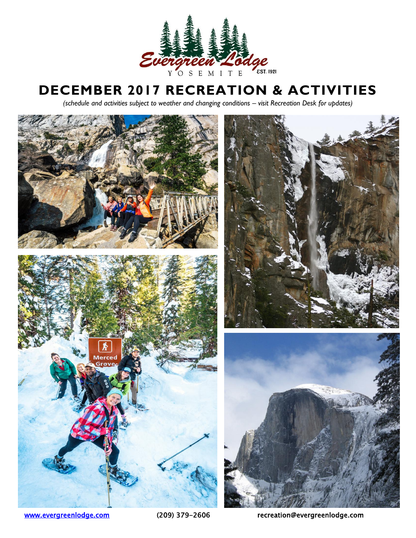

# **DECEMBER 2017 RECREATION & ACTIVITIES**

*(schedule and activities subject to weather and changing conditions – visit Recreation Desk for updates)* 



www.evergreenlodge.com (209) 379-2606 recreation@evergreenlodge.com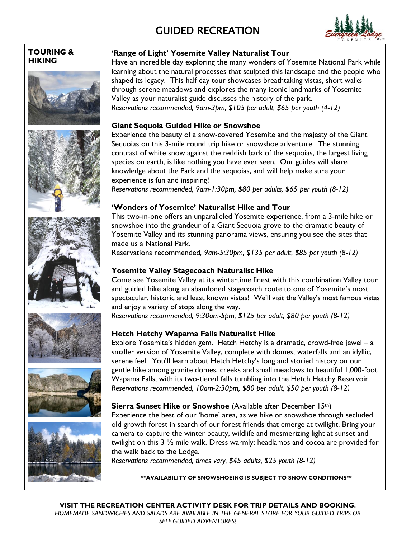# GUIDED RECREATION



## **TOURING & HIKING**













## **'Range of Light' Yosemite Valley Naturalist Tour**

Have an incredible day exploring the many wonders of Yosemite National Park while learning about the natural processes that sculpted this landscape and the people who shaped its legacy. This half day tour showcases breathtaking vistas, short walks through serene meadows and explores the many iconic landmarks of Yosemite Valley as your naturalist guide discusses the history of the park. *Reservations recommended, 9am-3pm, \$105 per adult, \$65 per youth (4-12)*

## **Giant Sequoia Guided Hike or Snowshoe**

Experience the beauty of a snow-covered Yosemite and the majesty of the Giant Sequoias on this 3-mile round trip hike or snowshoe adventure. The stunning contrast of white snow against the reddish bark of the sequoias, the largest living species on earth, is like nothing you have ever seen. Our guides will share knowledge about the Park and the sequoias, and will help make sure your experience is fun and inspiring!

*Reservations recommended, 9am-1:30pm, \$80 per adults, \$65 per youth (8-12)* 

## **'Wonders of Yosemite' Naturalist Hike and Tour**

This two-in-one offers an unparalleled Yosemite experience, from a 3-mile hike or snowshoe into the grandeur of a Giant Sequoia grove to the dramatic beauty of Yosemite Valley and its stunning panorama views, ensuring you see the sites that made us a National Park.

Reservations recommended*, 9am-5:30pm, \$135 per adult, \$85 per youth (8-12)*

## **Yosemite Valley Stagecoach Naturalist Hike**

Come see Yosemite Valley at its wintertime finest with this combination Valley tour and guided hike along an abandoned stagecoach route to one of Yosemite's most spectacular, historic and least known vistas! We'll visit the Valley's most famous vistas and enjoy a variety of stops along the way.

*Reservations recommended, 9:30am-5pm, \$125 per adult, \$80 per youth (8-12)*

## **Hetch Hetchy Wapama Falls Naturalist Hike**

Explore Yosemite's hidden gem. Hetch Hetchy is a dramatic, crowd-free jewel – a smaller version of Yosemite Valley, complete with domes, waterfalls and an idyllic, serene feel. You'll learn about Hetch Hetchy's long and storied history on our gentle hike among granite domes, creeks and small meadows to beautiful 1,000-foot Wapama Falls, with its two-tiered falls tumbling into the Hetch Hetchy Reservoir. *Reservations recommended, 10am-2:30pm, \$80 per adult, \$50 per youth (8-12)*

## **Sierra Sunset Hike or Snowshoe** (Available after December 15th)

Experience the best of our 'home' area, as we hike or snowshoe through secluded old growth forest in search of our forest friends that emerge at twilight. Bring your camera to capture the winter beauty, wildlife and mesmerizing light at sunset and twilight on this 3 ½ mile walk. Dress warmly; headlamps and cocoa are provided for the walk back to the Lodge.

*Reservations recommended, times vary, \$45 adults, \$25 youth (8-12)*

**\*\*AVAILABILITY OF SNOWSHOEING IS SUBJECT TO SNOW CONDITIONS\*\***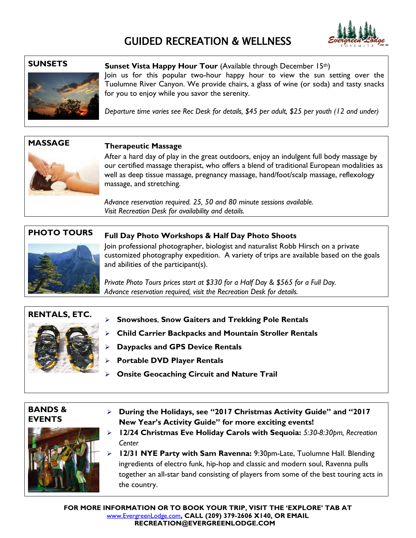# GUIDED RECREATION & WELLNESS





**SUNSETS Sunset Vista Happy Hour Tour** (Available through December 15<sup>th</sup>) Join us for this popular two-hour happy hour to view the sun setting over the Tuolumne River Canyon. We provide chairs, a glass of wine (or soda) and tasty snacks for you to enjoy while you savor the serenity.

*Departure time varies see Rec Desk for details, \$45 per adult, \$25 per youth (12 and under)* 



After a hard day of play in the great outdoors, enjoy an indulgent full body massage by our certified massage therapist, who offers a blend of traditional European modalities as well as deep tissue massage, pregnancy massage, hand/foot/scalp massage, reflexology massage, and stretching.

*Advance reservation required. 25, 50 and 80 minute sessions available. Visit Recreation Desk for availability and details.*

## **PHOTO TOURS Full Day Photo Workshops & Half Day Photo Shoots**



Join professional photographer, biologist and naturalist Robb Hirsch on a private customized photography expedition. A variety of trips are available based on the goals and abilities of the participant(s).

*Private Photo Tours prices start at \$330 for a Half Day & \$565 for a Full Day. Advance reservation required, visit the Recreation Desk for details.*

## **RENTALS, ETC.**



- **[Snowshoes](http://www.evergreenlodge.com/rentalsanddayuse.html)**, **Snow Gaiters and Trekking Pole Rentals**
- **Child Carrier Backpacks and [Mountain Stroller Rentals](http://www.evergreenlodge.com/rentalsanddayuse.html)**
- **Daypacks and [GPS Device Rentals](http://www.evergreenlodge.com/rentalsanddayuse.html)**
- **[Portable DVD Player Rentals](http://www.evergreenlodge.com/rentalsanddayuse.html)**
- **Onsite Geocaching Circuit and Nature Trail**

### **BANDS & EVENTS**



- **During the Holidays, see "2017 Christmas Activity Guide" and "2017 New Year's Activity Guide" for more exciting events!**
- **12/24 Christmas Eve Holiday Carols with Sequoia:** *5:30-8:30pm, Recreation Center*

 **12/31 NYE Party with Sam Ravenna:** 9:30pm-Late, Tuolumne Hall. Blending ingredients of electro funk, hip-hop and classic and modern soul, Ravenna pulls together an all-star band consisting of players from some of the best touring acts in the country.